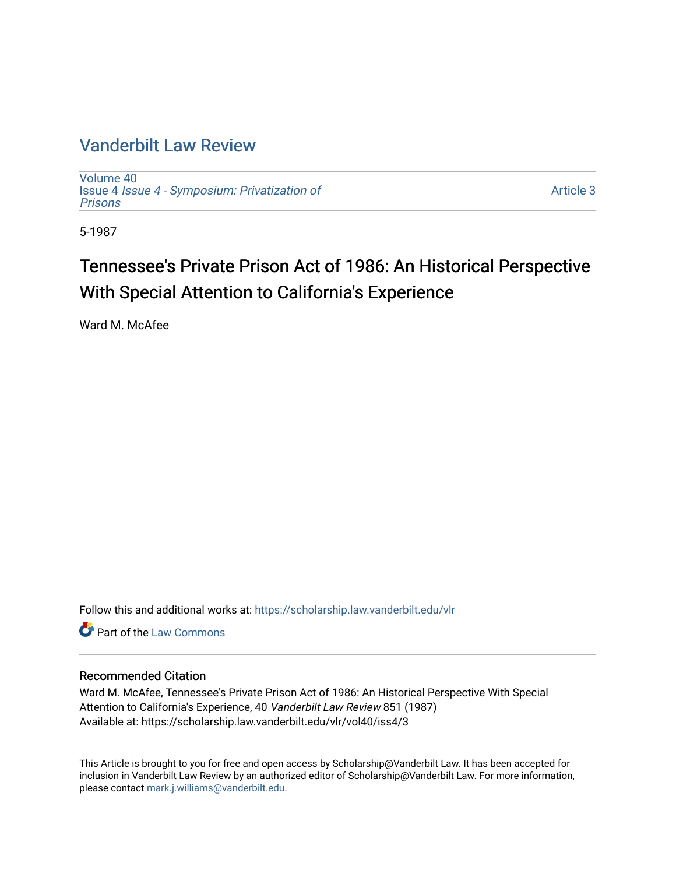### [Vanderbilt Law Review](https://scholarship.law.vanderbilt.edu/vlr)

[Volume 40](https://scholarship.law.vanderbilt.edu/vlr/vol40) Issue 4 [Issue 4 - Symposium: Privatization of](https://scholarship.law.vanderbilt.edu/vlr/vol40/iss4) [Prisons](https://scholarship.law.vanderbilt.edu/vlr/vol40/iss4) 

[Article 3](https://scholarship.law.vanderbilt.edu/vlr/vol40/iss4/3) 

5-1987

## Tennessee's Private Prison Act of 1986: An Historical Perspective With Special Attention to California's Experience

Ward M. McAfee

Follow this and additional works at: [https://scholarship.law.vanderbilt.edu/vlr](https://scholarship.law.vanderbilt.edu/vlr?utm_source=scholarship.law.vanderbilt.edu%2Fvlr%2Fvol40%2Fiss4%2F3&utm_medium=PDF&utm_campaign=PDFCoverPages)

**C** Part of the [Law Commons](http://network.bepress.com/hgg/discipline/578?utm_source=scholarship.law.vanderbilt.edu%2Fvlr%2Fvol40%2Fiss4%2F3&utm_medium=PDF&utm_campaign=PDFCoverPages)

#### Recommended Citation

Ward M. McAfee, Tennessee's Private Prison Act of 1986: An Historical Perspective With Special Attention to California's Experience, 40 Vanderbilt Law Review 851 (1987) Available at: https://scholarship.law.vanderbilt.edu/vlr/vol40/iss4/3

This Article is brought to you for free and open access by Scholarship@Vanderbilt Law. It has been accepted for inclusion in Vanderbilt Law Review by an authorized editor of Scholarship@Vanderbilt Law. For more information, please contact [mark.j.williams@vanderbilt.edu.](mailto:mark.j.williams@vanderbilt.edu)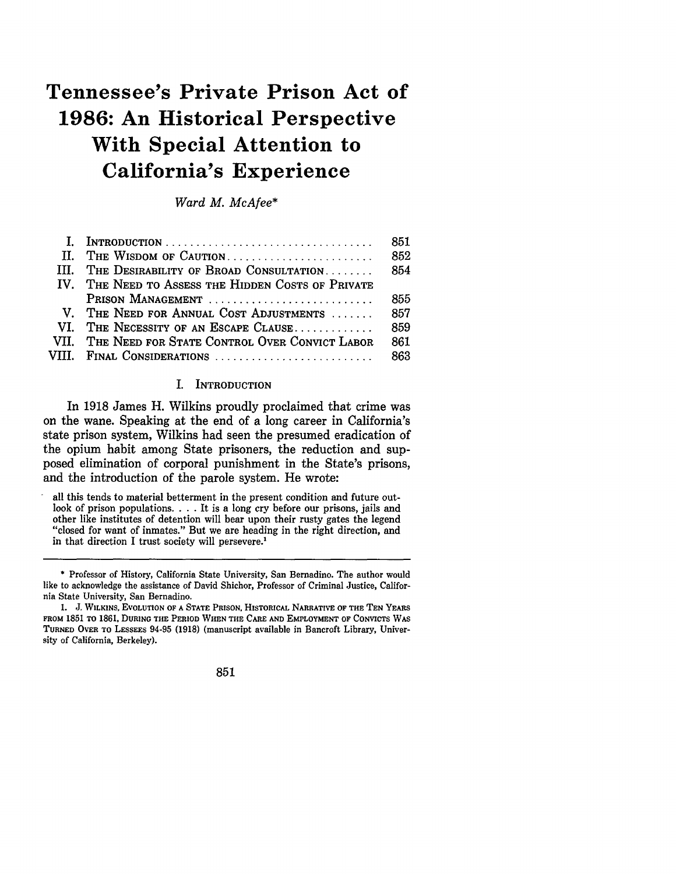# **Tennessee's Private Prison Act of 1986: An Historical Perspective With Special Attention to California's Experience**

*Ward M. McAfee\**

| I. INTRODUCTION                                    | 851 |
|----------------------------------------------------|-----|
| II. THE WISDOM OF CAUTION                          | 852 |
| III. THE DESIRABILITY OF BROAD CONSULTATION        | 854 |
| IV. THE NEED TO ASSESS THE HIDDEN COSTS OF PRIVATE |     |
| PRISON MANAGEMENT                                  | 855 |
| V. THE NEED FOR ANNUAL COST ADJUSTMENTS            | 857 |
| VI. THE NECESSITY OF AN ESCAPE CLAUSE              | 859 |
| VII. THE NEED FOR STATE CONTROL OVER CONVICT LABOR | 861 |
| VIII. FINAL CONSIDERATIONS                         | 863 |

#### I. INTRODUCTION

In 1918 James H. Wilkins proudly proclaimed that crime was on the wane. Speaking at the end of a long career in California's state prison system, Wilkins had seen the presumed eradication of the opium habit among State prisoners, the reduction and supposed elimination of corporal punishment in the State's prisons, and the introduction of the parole system. He wrote:

all this tends to material betterment in the present condition and future outlook of prison populations. . . . It is a long cry before our prisons, jails and other like institutes of detention will bear upon their rusty gates the legend other like institutes of detention will bear upon their rusty gates the legend "closed for want of inmates." But we are heading in the right direction, and in that direction I trust society will persevere.

851

<sup>\*</sup> Professor of History, California State University, San Bernadino. The author would like to acknowledge the assistance of David Shichor, Professor of Criminal Justice, California State University, San Bernadino.

*<sup>1.</sup>* J. **WILKINS, EVOLUTION OF A STATE PRISON,** HISTORICAL NARRATIVE OF **THE TEN YEARS** FROM 1851 TO 1861, **DURING** THE PERIOD **WHEN THE** CARE **AND** EMPLOYMENT OF **CONVICTS WAS TURNED** OVER **TO LESSEES** 94-95 **(1918)** (manuscript available in Bancroft Library, University of California, Berkeley).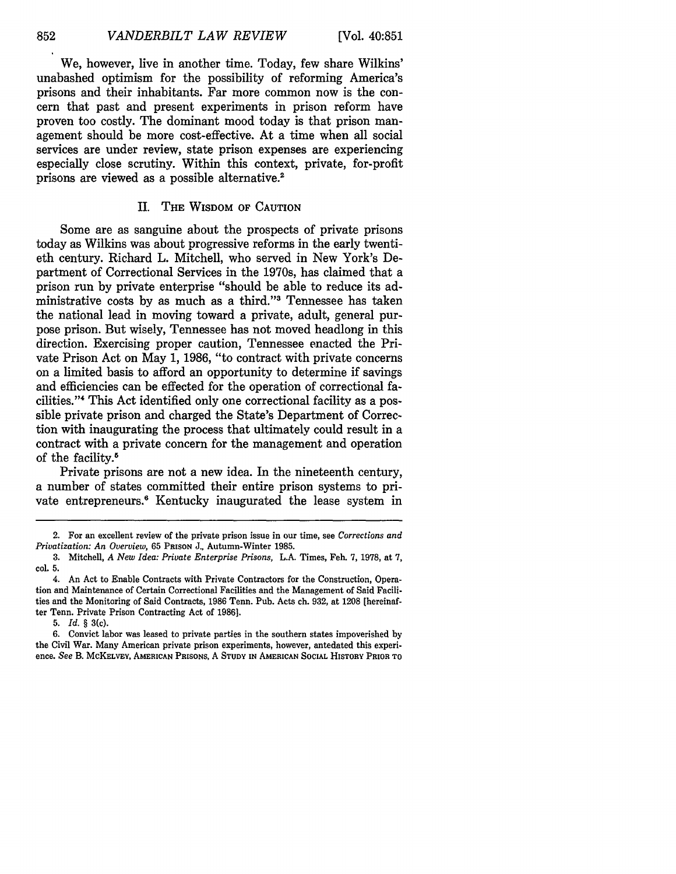We, however, live in another time. Today, few share Wilkins' unabashed optimism for the possibility of reforming America's prisons and their inhabitants. Far more common now is the concern that past and present experiments in prison reform have proven too costly. The dominant mood today is that prison management should be more cost-effective. At a time when all social services are under review, state prison expenses are experiencing especially close scrutiny. Within this context, private, for-profit prisons are viewed as a possible alternative.<sup>2</sup>

#### II. **THE** WISDOM OF **CAUTION**

Some are as sanguine about the prospects of private prisons today as Wilkins was about progressive reforms in the early twentieth century. Richard L. Mitchell, who served in New York's Department of Correctional Services in the 1970s, has claimed that a prison run by private enterprise "should be able to reduce its administrative costs by as much as a third."'3 Tennessee has taken the national lead in moving toward a private, adult, general purpose prison. But wisely, Tennessee has not moved headlong in this direction. Exercising proper caution, Tennessee enacted the Private Prison Act on May 1, 1986, "to contract with private concerns on a limited basis to afford an opportunity to determine if savings and efficiencies can be effected for the operation of correctional facilities."' 4 This Act identified only one correctional facility as a possible private prison and charged the State's Department of Correction with inaugurating the process that ultimately could result in a contract with a private concern for the management and operation of the facility.<sup>5</sup>

Private prisons are not a new idea. In the nineteenth century, a number of states committed their entire prison systems to private entrepreneurs.<sup>6</sup> Kentucky inaugurated the lease system in

**5.** *Id. §* 3(c).

<sup>2.</sup> For an excellent review of the private prison issue in our time, see *Corrections and Privatization: An Overview,* 65 PRISON J., Autumn-Winter 1985.

<sup>3.</sup> Mitchell, *A New Idea: Private Enterprise Prisons,* L.A. Times, Feb. 7, 1978, at 7, col. 5.

<sup>4.</sup> An Act to Enable Contracts with Private Contractors for the Construction, Operation and Maintenance of Certain Correctional Facilities and the Management of Said Facilities and the Monitoring of Said Contracts, **1986** Tenn. Pub. Acts ch. **932,** at **1208** (hereinafter Tenn. Private Prison Contracting Act of **1986].**

<sup>6.</sup> Convict labor was leased to private parties in the southern states impoverished by the Civil War. Many American private prison experiments, however, antedated this experience. *See* B. **MCKELVEY, AMERICAN** PRISONS, A **STUDY IN AMERICAN SOCIAL HISTORY PRIOR TO**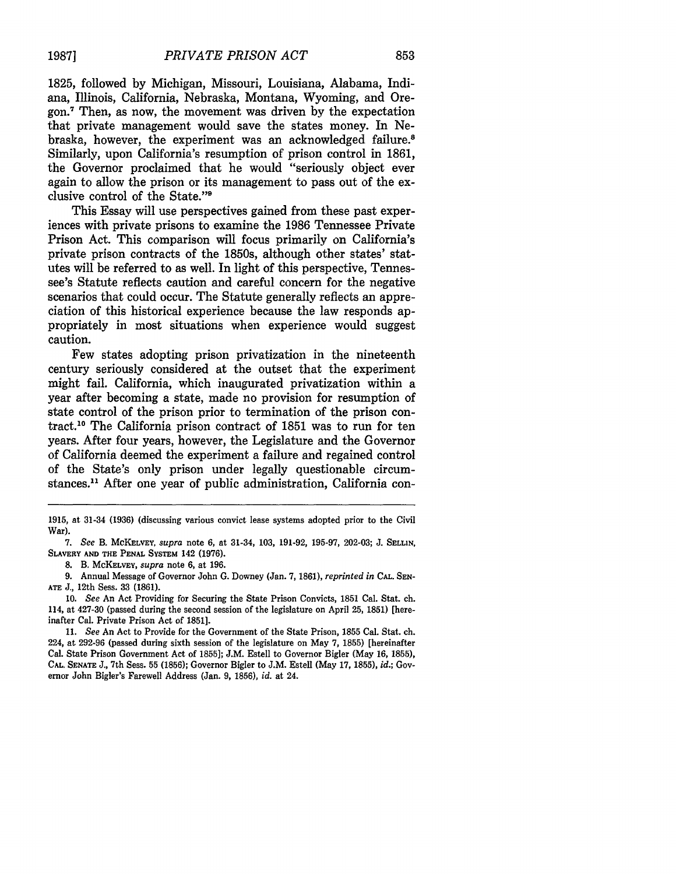1825, followed by Michigan, Missouri, Louisiana, Alabama, Indiana, Illinois, California, Nebraska, Montana, Wyoming, and Oregon.7 Then, as now, the movement was driven **by** the expectation that private management would save the states money. In Nebraska, however, the experiment was an acknowledged failure.<sup>8</sup> Similarly, upon California's resumption of prison control in **1861,** the Governor proclaimed that he would "seriously object ever again to allow the prison or its management to pass out of the exclusive control of the State."9

This Essay will use perspectives gained from these past experiences with private prisons to examine the **1986** Tennessee Private Prison Act. This comparison will focus primarily on California's private prison contracts of the 1850s, although other states' statutes will be referred to as well. In light of this perspective, Tennessee's Statute reflects caution and careful concern for the negative scenarios that could occur. The Statute generally reflects an appreciation of this historical experience because the law responds appropriately in most situations when experience would suggest caution.

Few states adopting prison privatization in the nineteenth century seriously considered at the outset that the experiment might fail. California, which inaugurated privatization within a year after becoming a state, made no provision for resumption of state control of the prison prior to termination of the prison contract."0 The California prison contract of **1851** was to run for ten years. After four years, however, the Legislature and the Governor of California deemed the experiment a failure and regained control of the State's only prison under legally questionable circumstances.<sup>11</sup> After one year of public administration, California con-

**8.** B. **MCKELVEY,** *supra* note **6,** at **196.**

**9.** Annual Message of Governor John **G.** Downey (Jan. **7, 1861),** *reprinted in* **CAL. SEN-ATE J.,** 12th Sess. **33 (1861).**

**10.** *See* An Act Providing for Securing the State Prison Convicts, **1851** Cal. Stat. ch. 114, at 427-30 (passed during the second session of the legislature on April **25, 1851)** [hereinafter Cal. Private Prison Act of **1851].**

**<sup>1915,</sup>** at 31-34 **(1936)** (discussing various convict lease systems adopted prior to the Civil War).

*<sup>7.</sup> See* B. **MCKELVEY,** *supra* note **6,** at 31-34, **103, 191-92, 195-97, 202-03; J. SELLIN, SLAVERY AND THE PENAL SYSTEM** 142 **(1976).**

**<sup>11.</sup>** *See* An Act to Provide for the Government of the State Prison, **1855** Cal. Stat. ch. 224, at **292-96** (passed during sixth session of the legislature on May **7, 1855)** [hereinafter Cal. State Prison Government Act of **1855]; J.M.** Estell to Governor Bigler (May **16, 1855), CAL, SENATE J.,** 7th Sess. **55 (1856);** Governor Bigler to **J.M.** Estell (May **17, 1855),** *id.;* Governor John Bigler's Farewell Address (Jan. **9, 1856), id.** at 24.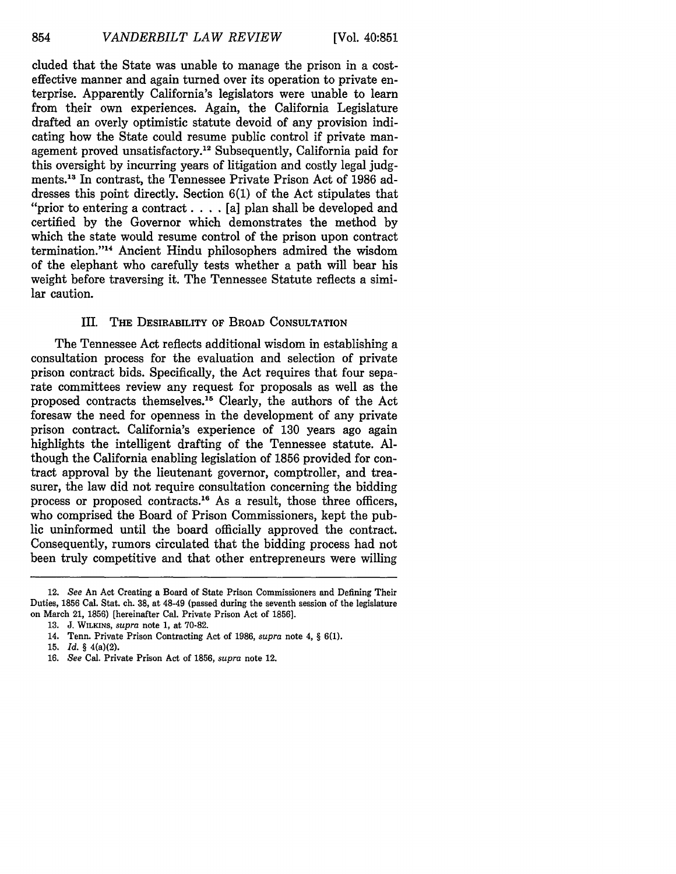cluded that the State was unable to manage the prison in a costeffective manner and again turned over its operation to private enterprise. Apparently California's legislators were unable to learn from their own experiences. Again, the California Legislature drafted an overly optimistic statute devoid of any provision indicating how the State could resume public control if private management proved unsatisfactory.<sup>12</sup> Subsequently, California paid for this oversight by incurring years of litigation and costly legal judgments." In contrast, the Tennessee Private Prison Act of 1986 addresses this point directly. Section 6(1) of the Act stipulates that "prior to entering a contract. . **.** .[a] plan shall be developed and certified by the Governor which demonstrates the method by which the state would resume control of the prison upon contract termination."<sup>14</sup> Ancient Hindu philosophers admired the wisdom of the elephant who carefully tests whether a path will bear his weight before traversing it. The Tennessee Statute reflects a similar caution.

#### III. THE DESIRABILITY OF BROAD CONSULTATION

The Tennessee Act reflects additional wisdom in establishing a consultation process for the evaluation and selection of private prison contract bids. Specifically, the Act requires that four separate committees review any request for proposals as well as the proposed contracts themselves. 15 Clearly, the authors of the Act foresaw the need for openness in the development of any private prison contract. California's experience of 130 years ago again highlights the intelligent drafting of the Tennessee statute. Although the California enabling legislation of 1856 provided for contract approval by the lieutenant governor, comptroller, and treasurer, the law did not require consultation concerning the bidding process or proposed contracts.<sup>16</sup> As a result, those three officers, who comprised the Board of Prison Commissioners, kept the public uninformed until the board officially approved the contract. Consequently, rumors circulated that the bidding process had not been truly competitive and that other entrepreneurs were willing

16. *See* Cal. Private Prison Act of 1856, *supra* note 12.

<sup>12.</sup> *See* An Act Creating a Board of State Prison Commissioners and Defining Their Duties, 1856 Cal. Stat. ch. 38, at 48-49 (passed during the seventh session of the legislature on March 21, 1856) [hereinafter Cal. Private Prison Act of 1856].

<sup>13.</sup> J. WILKINS, supra note 1, at 70-82.

<sup>14.</sup> Tenn. Private Prison Contracting Act of 1986, *supra* note 4, § 6(1).

<sup>15.</sup> *Id. §* 4(a)(2).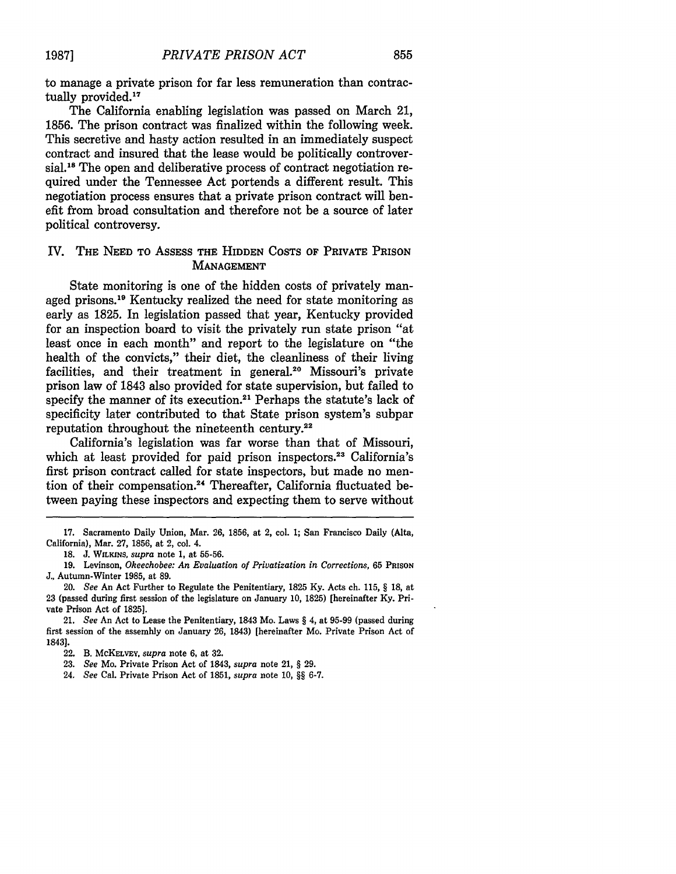to manage a private prison for far less remuneration than contractually provided.<sup>1</sup>

The California enabling legislation was passed on March 21, 1856. The prison contract was finalized within the following week. This secretive and hasty action resulted in an immediately suspect contract and insured that the lease would be politically controversial.<sup>18</sup> The open and deliberative process of contract negotiation required under the Tennessee Act portends a different result. This negotiation process ensures that a private prison contract will benefit from broad consultation and therefore not be a source of later political controversy.

#### IV. THE **NEED** TO ASSESS THE HIDDEN **COSTS** OF PRIVATE PRISON **MANAGEMENT**

State monitoring is one of the hidden costs of privately managed prisons.1" Kentucky realized the need for state monitoring as early as **1825.** In legislation passed that year, Kentucky provided for an inspection board to visit the privately run state prison "at least once in each month" and report to the legislature on "the health of the convicts," their diet, the cleanliness of their living facilities, and their treatment in general.<sup>20</sup> Missouri's private prison law of 1843 also provided for state supervision, but failed to specify the manner of its execution.<sup>21</sup> Perhaps the statute's lack of specificity later contributed to that State prison system's subpar reputation throughout the nineteenth century.<sup>22</sup>

California's legislation was far worse than that of Missouri, which at least provided for paid prison inspectors.<sup>23</sup> California's first prison contract called for state inspectors, but made no mention of their compensation.<sup>24</sup> Thereafter, California fluctuated between paying these inspectors and expecting them to serve without

**<sup>17.</sup>** Sacramento Daily Union, Mar. **26, 1856,** at 2, col. **1;** San Francisco Daily (Alta, California), Mar. **27, 1856,** at 2, col. 4.

**<sup>18.</sup> J. WILKINS,** *supra* note 1, at **55-56.**

<sup>19.</sup> Levinson, *Okeechobee: An Evaluation of Privatization in Corrections,* 65 **PRISON J.,** Autumn-Winter 1985, at **89.**

<sup>20.</sup> *See* An Act Further to Regulate the Penitentiary, 1825 Ky. Acts ch. 115, § **18,** at 23 (passed during first session of the legislature on January 10, 1825) [hereinafter Ky. Private Prison Act of 1825].

<sup>21.</sup> *See* An Act to Lease the Penitentiary, 1843 Mo. Laws § 4, at 95-99 (passed during first session of the assembly on January 26, 1843) [hereinafter Mo. Private Prison Act of 1843].

<sup>22.</sup> B. **McKELVEY,** *supra* note **6,** at **32.**

<sup>23.</sup> *See* Mo. Private Prison Act of 1843, *supra* note 21, § 29.

<sup>24.</sup> *See* Cal. Private Prison Act of 1851, *supra* note 10, §§ 6-7.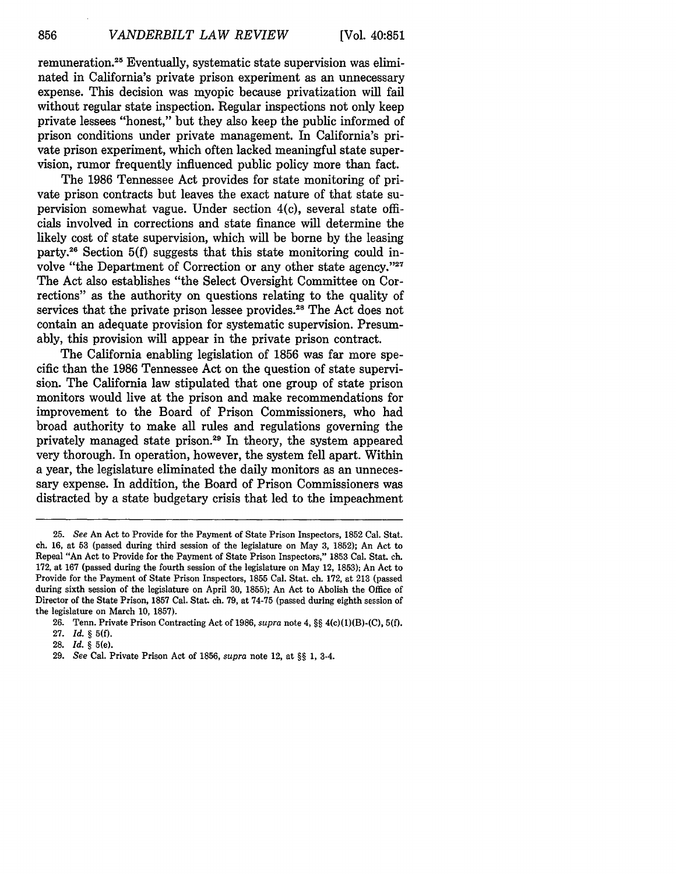[Vol. 40:851

remuneration.<sup>25</sup> Eventually, systematic state supervision was eliminated in California's private prison experiment as an unnecessary expense. This decision was myopic because privatization will fail without regular state inspection. Regular inspections not only keep private lessees "honest," but they also keep the public informed of prison conditions under private management. In California's private prison experiment, which often lacked meaningful state supervision, rumor frequently influenced public policy more than fact.

The 1986 Tennessee Act provides for state monitoring of private prison contracts but leaves the exact nature of that state supervision somewhat vague. Under section 4(c), several state officials involved in corrections and state finance will determine the likely cost of state supervision, which will be borne by the leasing party.26 Section 5(f) suggests that this state monitoring could involve "the Department of Correction or any other state agency."<sup>27</sup> The Act also establishes "the Select Oversight Committee on Corrections" as the authority on questions relating to the quality of services that the private prison lessee provides.<sup>28</sup> The Act does not contain an adequate provision for systematic supervision. Presumably, this provision will appear in the private prison contract.

The California enabling legislation of 1856 was far more specific than the 1986 Tennessee Act on the question of state supervision. The California law stipulated that one group of state prison monitors would live at the prison and make recommendations for improvement to the Board of Prison Commissioners, who had broad authority to make all rules and regulations governing the privately managed state prison.<sup>29</sup> In theory, the system appeared very thorough. In operation, however, the system fell apart. Within a year, the legislature eliminated the daily monitors as an unnecessary expense. In addition, the Board of Prison Commissioners was distracted by a state budgetary crisis that led to the impeachment

**<sup>25.</sup>** *See* An Act to Provide for the Payment of State Prison Inspectors, 1852 Cal. Stat. ch. 16, at 53 (passed during third session of the legislature on May 3, 1852); An Act to Repeal "An Act to Provide for the Payment of State Prison Inspectors," 1853 Cal. Stat. ch. 172, at 167 (passed during the fourth session of the legislature on May 12, 1853); An Act to Provide for the Payment of State Prison Inspectors, 1855 Cal. Stat. ch. 172, at 213 (passed during sixth session of the legislature on April 30, 1855); An Act to Abolish the Office of Director of the State Prison, 1857 Cal. Stat. ch. 79, at 74-75 (passed during eighth session of the legislature on March 10, 1857).

<sup>26.</sup> Tenn. Private Prison Contracting Act of 1986, *supra* note 4, §§ 4(c)(1)(B)-(C), **5(f).**

**<sup>27.</sup>** *Id.* § **5(f).**

**<sup>28.</sup>** *Id.* § 5(e).

<sup>29.</sup> *See* Cal. Private Prison Act of 1856, *supra* note 12, at §§ 1, 3-4.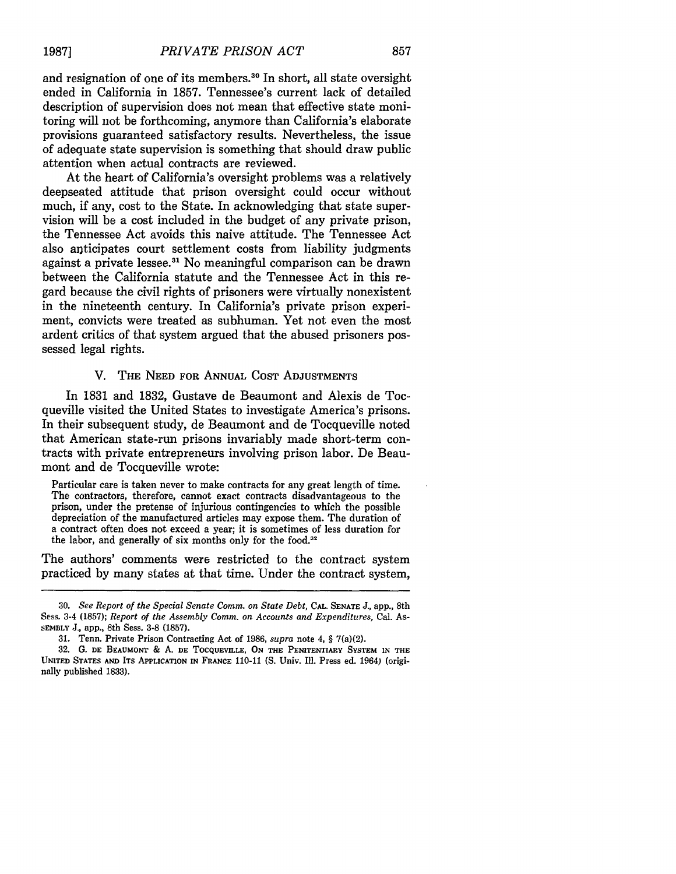and resignation of one of its members.<sup>30</sup> In short, all state oversight ended in California in 1857. Tennessee's current lack of detailed description of supervision does not mean that effective state monitoring will not be forthcoming, anymore than California's elaborate provisions guaranteed satisfactory results. Nevertheless, the issue of adequate state supervision is something that should draw public attention when actual contracts are reviewed.

At the heart of California's oversight problems was a relatively deepseated attitude that prison oversight could occur without much, if any, cost to the State. In acknowledging that state supervision will be a cost included in the budget of any private prison, the Tennessee Act avoids this naive attitude. The Tennessee Act also anticipates court settlement costs from liability judgments against a private lessee.<sup>31</sup> No meaningful comparison can be drawn between the California statute and the Tennessee Act in this regard because the civil rights of prisoners were virtually nonexistent in the nineteenth century. In California's private prison experiment, convicts were treated as subhuman. Yet not even the most ardent critics of that system argued that the abused prisoners possessed legal rights.

#### V. **THE NEED FOR ANNUAL COST ADJUSTMENTS**

In 1831 and 1832, Gustave de Beaumont and Alexis de Tocqueville visited the United States to investigate America's prisons. In their subsequent study, de Beaumont and de Tocqueville noted that American state-run prisons invariably made short-term contracts with private entrepreneurs involving prison labor. De Beaumont and de Tocqueville wrote:

Particular care is taken never to make contracts for any great length of time. The contractors, therefore, cannot exact contracts disadvantageous to the prison, under the pretense of injurious contingencies to which the possible depreciation of the manufactured articles may expose them. The duration of a contract often does not exceed a year; it is sometimes of less duration for the labor, and generally of six months only for the **food.32**

The authors' comments were restricted to the contract system practiced by many states at that time. Under the contract system,

<sup>30.</sup> *See Report of the Special Senate Comm. on State Debt,* **CAL. SENATE** J., app., 8th Sess. 3-4 (1857); *Report of the Assembly Comm. on Accounts and Expenditures,* Cal. As-**SEMBLY J.,** app., 8th Sess. **3-8** (1857).

**<sup>31.</sup>** Tenn. Private Prison Contracting Act of **1986,** *supra* note 4, § 7(a)(2).

**<sup>32.</sup>** G. **DE BEAUMONT** & **A. DE TOCQUEVILLE,** ON **THE** PENITENTIARY SYSTEM **IN THE UNITED** STATES **AND** ITS **APPLICATION IN FRANCE** 110-11 **(S.** Univ. Ill. Press ed. 1964) (originally published **1833).**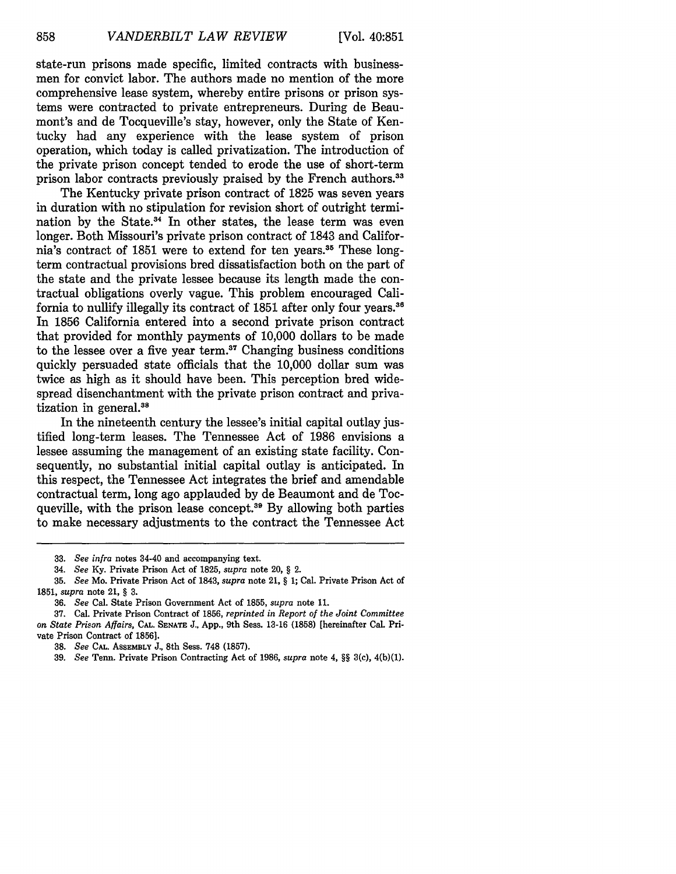state-run prisons made specific, limited contracts with businessmen for convict labor. The authors made no mention of the more comprehensive lease system, whereby entire prisons or prison systems were contracted to private entrepreneurs. During de Beaumont's and de Tocqueville's stay, however, only the State of Kentucky had any experience with the lease system of prison operation, which today is called privatization. The introduction of the private prison concept tended to erode the use of short-term prison labor contracts previously praised by the French authors.<sup>33</sup>

The Kentucky private prison contract of 1825 was seven years in duration with no stipulation for revision short of outright termination by the State. $34$  In other states, the lease term was even longer. Both Missouri's private prison contract of 1843 and California's contract of 1851 were to extend for ten years.<sup>35</sup> These longterm contractual provisions bred dissatisfaction both on the part of the state and the private lessee because its length made the contractual obligations overly vague. This problem encouraged California to nullify illegally its contract of 1851 after only four years.<sup>36</sup> In 1856 California entered into a second private prison contract that provided for monthly payments of 10,000 dollars to be made to the lessee over a five year term. $37$  Changing business conditions quickly persuaded state officials that the 10,000 dollar sum was twice as high as it should have been. This perception bred widespread disenchantment with the private prison contract and privatization in general. $38$ 

In the nineteenth century the lessee's initial capital outlay justified long-term leases. The Tennessee Act of 1986 envisions a lessee assuming the management of an existing state facility. Consequently, no substantial initial capital outlay is anticipated. In this respect, the Tennessee Act integrates the brief and amendable contractual term, long ago applauded by de Beaumont and de Tocqueville, with the prison lease concept.<sup>39</sup> By allowing both parties to make necessary adjustments to the contract the Tennessee Act

**<sup>33.</sup>** *See infra* notes 34-40 and accompanying text.

<sup>34.</sup> *See* Ky. Private Prison Act of 1825, *supra* note 20, *§* 2.

<sup>35.</sup> *See* Mo. Private Prison Act of 1843, *supra* note 21, *§* 1; Cal. Private Prison Act of **1851,** *supra* note 21, § 3.

<sup>36.</sup> *See* Cal. State Prison Government Act of 1855, *supra* note 11.

<sup>37.</sup> Cal. Private Prison Contract of 1856, *reprinted in Report of the Joint Committee on State Prison Affairs,* **CAL. SENATE** J., App., 9th Sess. **13-16** (1858) [hereinafter Cal. Private Prison Contract of 1856].

**<sup>38.</sup>** *See* CAL. **ASSEMBLY J.,** 8th Sess. 748 (1857).

<sup>39.</sup> *See* Tenn. Private Prison Contracting Act of 1986, *supra* note 4, §§ 3(c), 4(b)(1).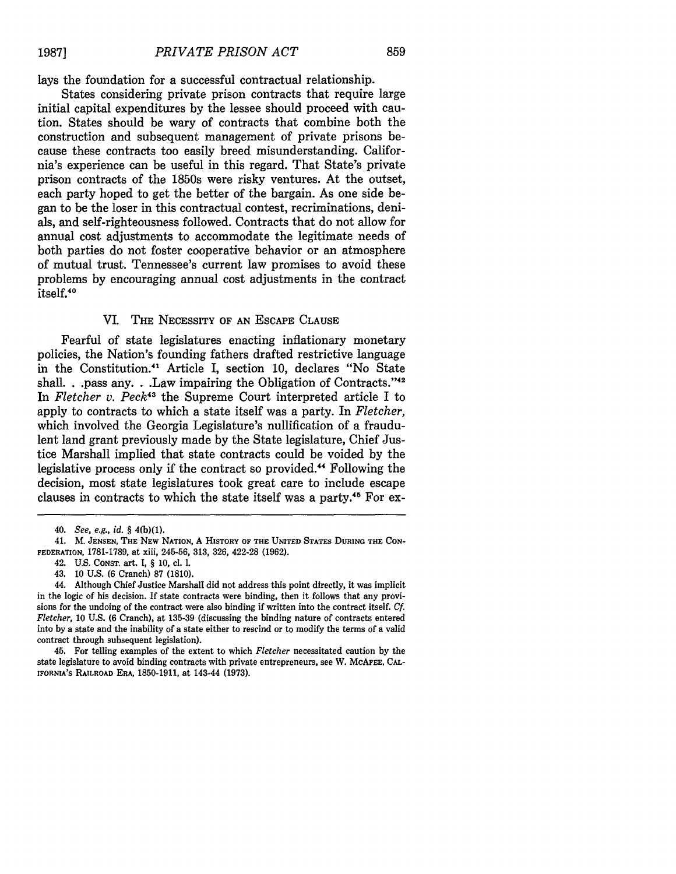lays the foundation for a successful contractual relationship.

States considering private prison contracts that require large initial capital expenditures by the lessee should proceed with caution. States should be wary of contracts that combine both the construction and subsequent management of private prisons because these contracts too easily breed misunderstanding. California's experience can be useful in this regard. That State's private prison contracts of the 1850s were risky ventures. At the outset, each party hoped to get the better of the bargain. As one side began to be the loser in this contractual contest, recriminations, denials, and self-righteousness followed. Contracts that do not allow for annual cost adjustments to accommodate the legitimate needs of both parties do not foster cooperative behavior or an atmosphere of mutual trust. Tennessee's current law promises to avoid these problems by encouraging annual cost adjustments in the contract itself.<sup>40</sup>

#### VI. THE NECESSITY OF **AN ESCAPE CLAUSE**

Fearful of state legislatures enacting inflationary monetary policies, the Nation's founding fathers drafted restrictive language in the Constitution. 41 Article I, section 10, declares "No State shall. **.** .pass any. **.** .Law impairing the Obligation of Contracts."<sup>42</sup> In *Fletcher v. Peck43* the Supreme Court interpreted article I to apply to contracts to which a state itself was a party. In *Fletcher,* which involved the Georgia Legislature's nullification of a fraudulent land grant previously made by the State legislature, Chief Justice Marshall implied that state contracts could be voided by the legislative process only if the contract so provided.44 Following the decision, most state legislatures took great care to include escape clauses in contracts to which the state itself was a party.45 For ex-

45. For telling examples of the extent to which *Fletcher* necessitated caution by the state legislature to avoid binding contracts with private entrepreneurs, see W. McAFEE, CAL-IFORNIA'S RAILROAD ERA, 1850-1911, at 143-44 (1973).

<sup>40.</sup> *See, e.g., id. §* 4(b)(1).

<sup>41.</sup> M. **JENSEN, THE** NEW NATION, A **HISTORY OF THE UNITED** STATES **DURING THE CON-FEDERATION,** 1781-1789, at xiii, 245-56, 313, 326, 422-28 **(1962).**

<sup>42.</sup> U.S. CONST. art. **I,** *§* **10,** ci. **1.**

<sup>43.</sup> **10** U.S. **(6** Cranch) **87 (1810).**

<sup>44.</sup> Although Chief Justice Marshall did not address this point directly, it was implicit in the logic of his decision. **If** state contracts were binding, then it follows that any provisions for the undoing of the contract were also binding if written into the contract itself. *Cf. Fletcher,* 10 U.S. **(6** Cranch), at 135-39 (discussing the binding nature of contracts entered into by a state and the inability of a state either to rescind or to modify the terms of a valid contract through subsequent legislation).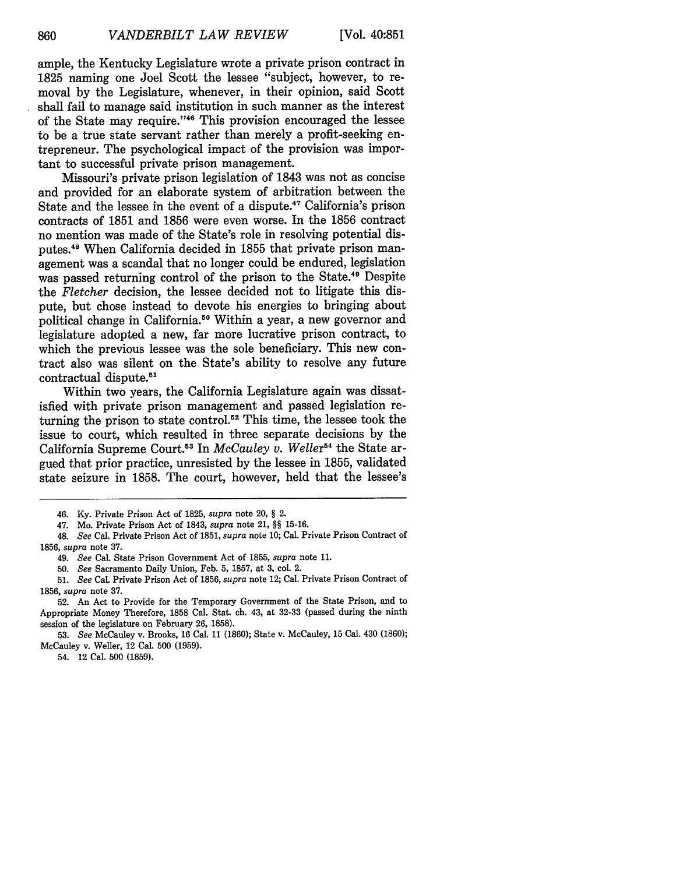ample, the Kentucky Legislature wrote a private prison contract in 1825 naming one Joel Scott the lessee "subject, however, to removal by the Legislature, whenever, in their opinion, said Scott shall fail to manage said institution in such manner as the interest of the State may require. '46 This provision encouraged the lessee to be a true state servant rather than merely a profit-seeking entrepreneur. The psychological impact of the provision was important to successful private prison management.

Missouri's private prison legislation of 1843 was not as concise and provided for an elaborate system of arbitration between the State and the lessee in the event of a dispute.47 California's prison contracts of 1851 and 1856 were even worse. In the 1856 contract no mention was made of the State's role in resolving potential disputes.48 When California decided in 1855 that private prison management was a scandal that no longer could be endured, legislation was passed returning control of the prison to the State.<sup>49</sup> Despite the *Fletcher* decision, the lessee decided not to litigate this dispute, but chose instead to devote his energies to bringing about political change in California.<sup>50</sup> Within a year, a new governor and legislature adopted a new, far more lucrative prison contract, to which the previous lessee was the sole beneficiary. This new contract also was silent on the State's ability to resolve any future contractual dispute.<sup>51</sup>

Within two years, the California Legislature again was dissatisfied with private prison management and passed legislation returning the prison to state control.<sup>52</sup> This time, the lessee took the issue to court, which resulted in three separate decisions by the California Supreme Court.<sup>53</sup> In *McCauley v. Weller*<sup>54</sup> the State argued that prior practice, unresisted by the lessee in 1855, validated state seizure in 1858. The court, however, held that the lessee's

52. An Act to Provide for the Temporary Government of the State Prison, and to Appropriate Money Therefore, 1858 Cal. Stat. ch. 43, at 32-33 (passed during the ninth session of the legislature on February 26, 1858).

53. *See* McCauley v. Brooks, 16 Cal. 11 (1860); State v. McCauley, 15 Cal. 430 (1860); McCauley v. Weller, 12 Cal. 500 (1959).

54. 12 Cal. 500 (1859).

<sup>46.</sup> Ky. Private Prison Act of 1825, *supra* note 20, § 2.

<sup>47.</sup> Mo. Private Prison Act of 1843, *supra* note 21, §§ 15-16.

<sup>48.</sup> *See* Cal. Private Prison Act of 1851, *supra* note 10; Cal. Private Prison Contract of 1856, *supra* note 37.

<sup>49.</sup> *See* Cal. State Prison Government Act of 1855, *supra* note 11.

<sup>50.</sup> *See* Sacramento Daily Union, Feb. 5, 1857, at 3, col. 2.

<sup>51.</sup> *See* Cal. Private Prison Act of 1856, *supra* note 12; Cal. Private Prison Contract of 1856, *supra* note 37.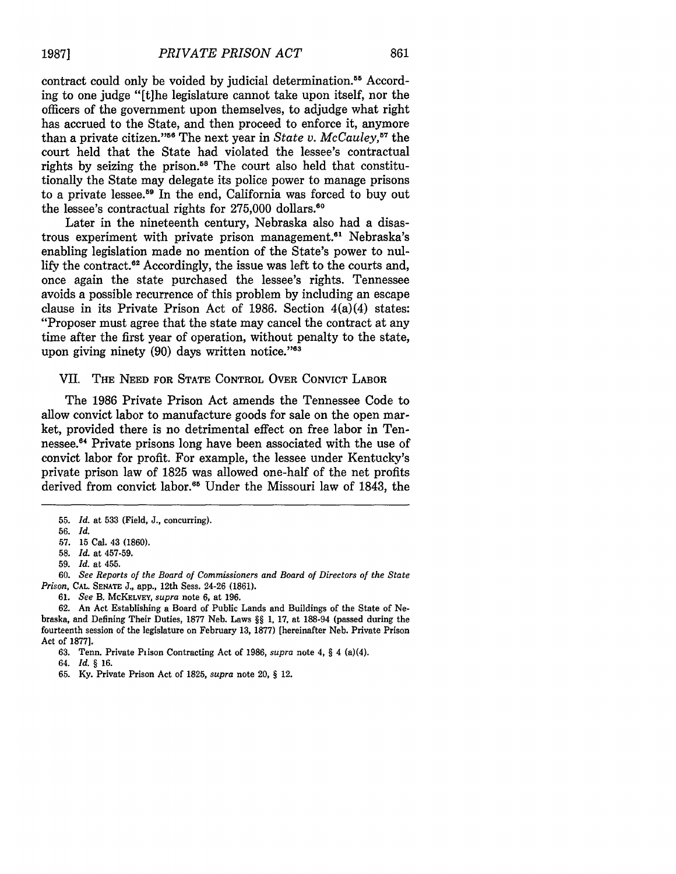contract could only be voided by judicial determination.<sup>55</sup> According to one judge "[t]he legislature cannot take upon itself, nor the officers of the government upon themselves, to adjudge what right has accrued to the State, and then proceed to enforce it, anymore than a private citizen."<sup>56</sup> The next year in *State v. McCauley*,<sup>57</sup> the court held that the State had violated the lessee's contractual rights by seizing the prison.<sup>58</sup> The court also held that constitutionally the State may delegate its police power to manage prisons to a private lessee.<sup>59</sup> In the end, California was forced to buy out the lessee's contractual rights for  $275,000$  dollars.<sup>60</sup>

Later in the nineteenth century, Nebraska also had a disastrous experiment with private prison management.<sup>61</sup> Nebraska's enabling legislation made no mention of the State's power to nullify the contract.<sup>62</sup> Accordingly, the issue was left to the courts and, once again the state purchased the lessee's rights. Tennessee avoids a possible recurrence of this problem by including an escape clause in its Private Prison Act of 1986. Section 4(a)(4) states: "Proposer must agree that the state may cancel the contract at any time after the first year of operation, without penalty to the state, upon giving ninety (90) days written notice."<sup>63</sup>

#### VII. THE **NEED** FOR STATE CONTROL OVER **CONVICT** LABOR

The **1986** Private Prison Act amends the Tennessee Code to allow convict labor to manufacture goods for sale on the open market, provided there is no detrimental effect on free labor in Tennessee.<sup>64</sup> Private prisons long have been associated with the use of convict labor for profit. For example, the lessee under Kentucky's private prison law of **1825** was allowed one-half of the net profits derived from convict labor.<sup>65</sup> Under the Missouri law of 1843, the

- 58. *Id.* at **457-59.**
- **59.** *Id.* at 455.

60. *See Reports of the Board of Commissioners and Board of Directors of the State Prison,* **CAL. SENATE** J., *app.,* 12th Sess. 24-26 (1861).

61. *See* B. **MCKELVEY,** *supra* note 6, at 196.

62. An Act Establishing a Board of Public Lands and Buildings of the State of Nebraska, and Defining Their Duties, 1877 Neb. Laws §§ 1, 17, at 188-94 (passed during the fourteenth session of the legislature on February 13, 1877) [hereinafter Neb. Private Prison Act of 1877].

63. Tenn. Private Piison Contracting Act of 1986, *supra* note 4, § 4 (a)(4).

- 64. *Id. §* 16.
- **65.** Ky. Private Prison Act of 1825, *supra* note 20, § 12.

**<sup>55.</sup>** *Id.* at **533** (Field, J., concurring).

<sup>56.</sup> *Id.*

<sup>57. 15</sup> Cal. 43 (1860).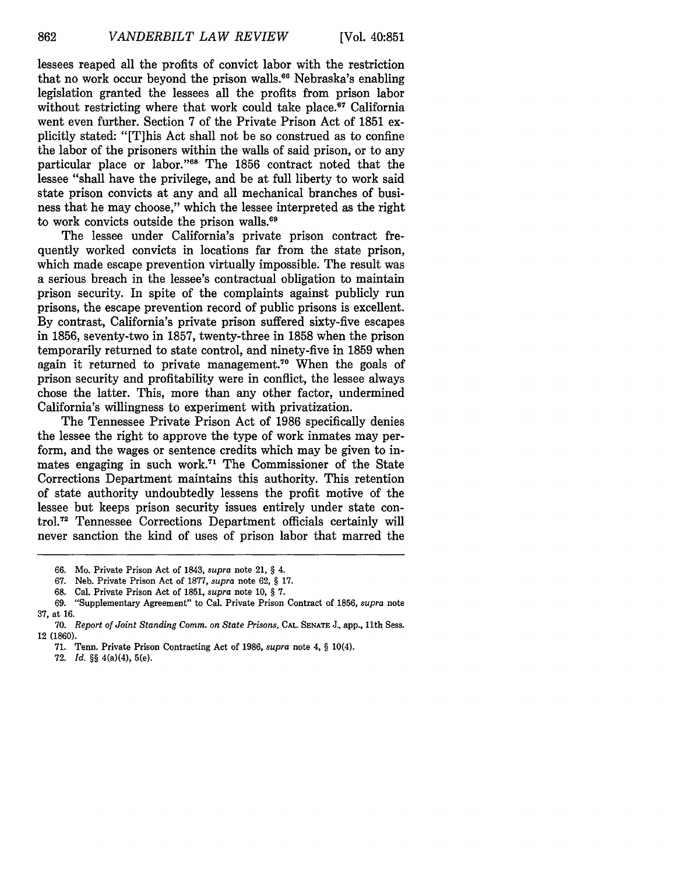lessees reaped all the profits of convict labor with the restriction that no work occur beyond the prison walls.<sup>66</sup> Nebraska's enabling legislation granted the lessees all the profits from prison labor without restricting where that work could take place.<sup>67</sup> California went even further. Section 7 of the Private Prison Act of 1851 explicitly stated: "[T]his Act shall not be so construed as to confine the labor of the prisoners within the walls of said prison, or to any particular place or labor."<sup>68</sup> The 1856 contract noted that the lessee "shall have the privilege, and be at full liberty to work said state prison convicts at any and all mechanical branches of business that he may choose," which the lessee interpreted as the right to work convicts outside the prison walls.<sup>69</sup>

The lessee under California's private prison contract frequently worked convicts in locations far from the state prison, which made escape prevention virtually impossible. The result was a serious breach in the lessee's contractual obligation to maintain prison security. In spite of the complaints against publicly run prisons, the escape prevention record of public prisons is excellent. By contrast, California's private prison suffered sixty-five escapes in 1856, seventy-two in 1857, twenty-three in 1858 when the prison temporarily returned to state control, and ninety-five in 1859 when again it returned to private management.<sup>70</sup> When the goals of prison security and profitability were in conflict, the lessee always chose the latter. This, more than any other factor, undermined California's willingness to experiment with privatization.

The Tennessee Private Prison Act of 1986 specifically denies the lessee the right to approve the type of work inmates may perform, and the wages or sentence credits which may be given to inmates engaging in such work.71 The Commissioner of the State Corrections Department maintains this authority. This retention of state authority undoubtedly lessens the profit motive of the lessee but keeps prison security issues entirely under state control.<sup>72</sup> Tennessee Corrections Department officials certainly will never sanction the kind of uses of prison labor that marred the

- 68. Cal. Private Prison Act of 1851, *supra* note **10,** § **7.**
- 69. "Supplementary Agreement" to Cal. Private Prison Contract of 1856, *supra* note 37, at 16.

**72.** *Id. §§* 4(a)(4), 5(e).

<sup>66.</sup> Mo. Private Prison Act of 1843, *supra* note 21, § 4.

<sup>67.</sup> Neb. Private Prison Act of 1877, *supra* note 62, § 17.

<sup>70.</sup> *Report of Joint Standing Comm. on State Prisons,* CAL. **SENATE** J., app., 11th Sess. 12 (1860).

<sup>71.</sup> Tenn. Private Prison Contracting Act of 1986, *supra* note 4, § 10(4).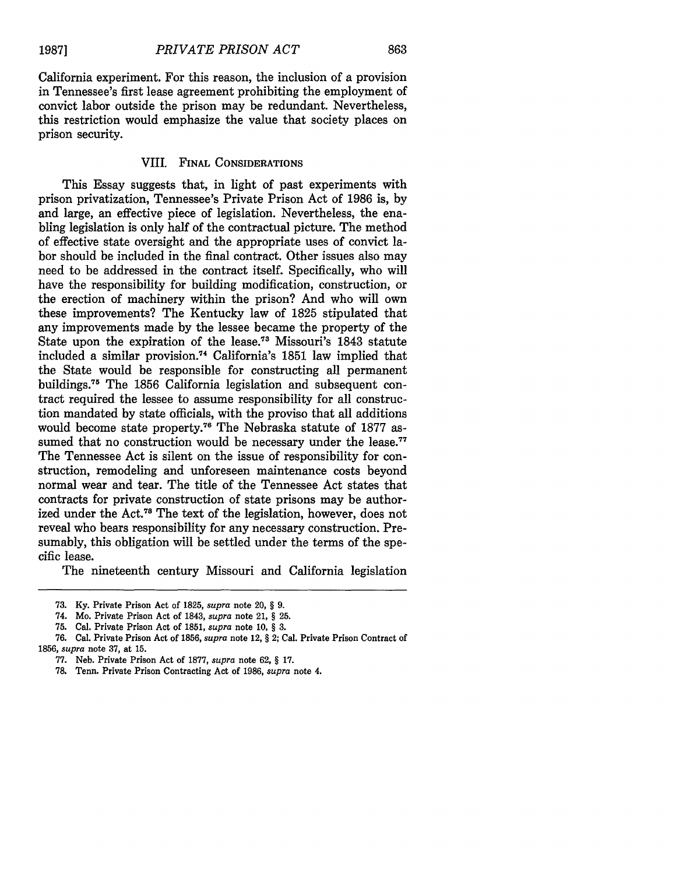California experiment. For this reason, the inclusion of a provision in Tennessee's first lease agreement prohibiting the employment of convict labor outside the prison may be redundant. Nevertheless, this restriction would emphasize the value that society places on prison security.

#### VIII. **FINAL** CONSIDERATIONS

This Essay suggests that, in light of past experiments with prison privatization, Tennessee's Private Prison Act of 1986 is, by and large, an effective piece of legislation. Nevertheless, the enabling legislation is only half of the contractual picture. The method of effective state oversight and the appropriate uses of convict labor should be included in the final contract. Other issues also may need to be addressed in the contract itself. Specifically, who will have the responsibility for building modification, construction, or the erection of machinery within the prison? And who will own these improvements? The Kentucky law of 1825 stipulated that any improvements made by the lessee became the property of the State upon the expiration of the lease.<sup>73</sup> Missouri's 1843 statute included a similar provision.<sup>74</sup> California's 1851 law implied that the State would be responsible for constructing all permanent buildings. 75 The 1856 California legislation and subsequent contract required the lessee to assume responsibility for all construction mandated by state officials, with the proviso that all additions would become state property.76 The Nebraska statute of 1877 assumed that no construction would be necessary under the lease.<sup>77</sup> The Tennessee Act is silent on the issue of responsibility for construction, remodeling and unforeseen maintenance costs beyond normal wear and tear. The title of the Tennessee Act states that contracts for private construction of state prisons may be authorized under the Act.78 The text of the legislation, however, does not reveal who bears responsibility for any necessary construction. Presumably, this obligation will be settled under the terms of the specific lease.

The nineteenth century Missouri and California legislation

<sup>73.</sup> Ky. Private Prison Act of 1825, *supra* note 20, § 9.

<sup>74.</sup> Mo. Private Prison Act of 1843, *supra* note 21, *§* 25.

**<sup>75.</sup>** Cal. Private Prison Act of **1851,** *supra* note **10,** § **3.**

**<sup>76.</sup>** Cal. Private Prison Act of **1856,** *supra* note 12, § 2; Cal. Private Prison Contract of **1856,** *supra* note **37,** at **15.**

**<sup>77.</sup>** Neb. Private Prison Act of **1877,** *supra* note **62,** § **17.**

**<sup>78.</sup>** Tenn. Private Prison Contracting Act of **1986,** *supra* note 4.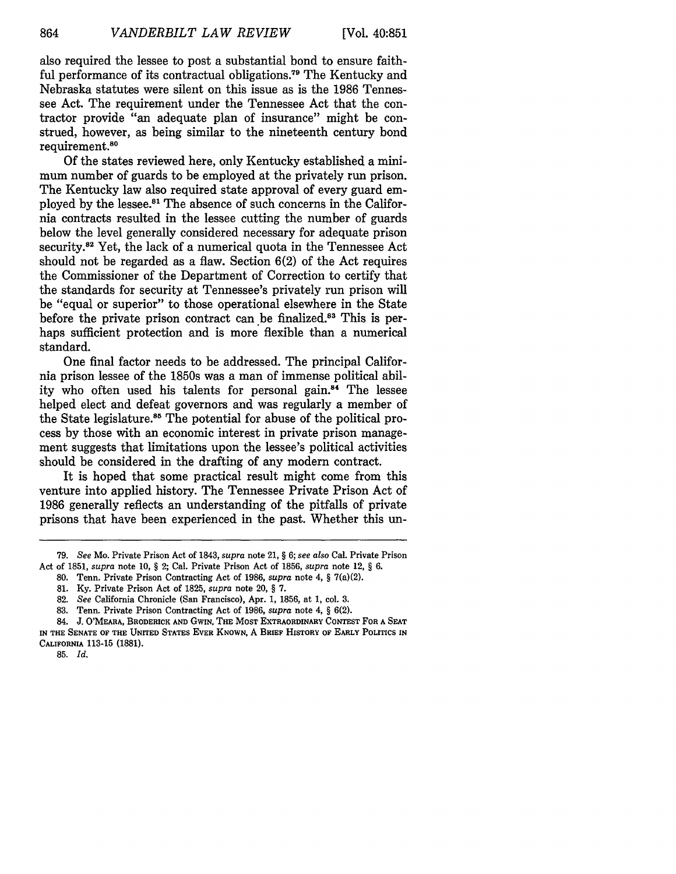also required the lessee to post a substantial bond to ensure faithful performance of its contractual obligations.<sup>79</sup> The Kentucky and Nebraska statutes were silent on this issue as is the 1986 Tennessee Act. The requirement under the Tennessee Act that the contractor provide "an adequate plan of insurance" might be construed, however, as being similar to the nineteenth century bond requirement.<sup>80</sup>

Of the states reviewed here, only Kentucky established a minimum number of guards to be employed at the privately run prison. The Kentucky law also required state approval of every guard employed by the lessee."1 The absence of such concerns in the California contracts resulted in the lessee cutting the number of guards below the level generally considered necessary for adequate prison security.<sup>82</sup> Yet, the lack of a numerical quota in the Tennessee Act should not be regarded as a flaw. Section 6(2) of the Act requires the Commissioner of the Department of Correction to certify that the standards for security at Tennessee's privately run prison will be "equal or superior" to those operational elsewhere in the State before the private prison contract can be finalized.<sup>83</sup> This is perhaps sufficient protection and is more flexible than a numerical standard.

One final factor needs to be addressed. The principal California prison lessee of the 1850s was a man of immense political ability who often used his talents for personal gain.<sup>84</sup> The lessee helped elect and defeat governors and was regularly a member of the State legislature.<sup>85</sup> The potential for abuse of the political process by those with an economic interest in private prison management suggests that limitations upon the lessee's political activities should be considered in the drafting of any modern contract.

It is hoped that some practical result might come from this venture into applied history. The Tennessee Private Prison Act of 1986 generally reflects an understanding of the pitfalls of private prisons that have been experienced in the past. Whether this un-

<sup>79.</sup> *See* Mo. Private Prison Act of 1843, *supra* note 21, § *6; see also* Cal. Private Prison Act of 1851, *supra* note 10, § 2; Cal. Private Prison Act of 1856, *supra* note 12, § 6.

<sup>80.</sup> Tenn. Private Prison Contracting Act of 1986, *supra* note 4, § 7(a)(2).

**<sup>81.</sup>** Ky. Private Prison Act of 1825, *supra* note 20, § 7.

<sup>82.</sup> *See* California Chronicle (San Francisco), Apr. 1, 1856, at 1, col. 3.

<sup>83.</sup> Tenn. Private Prison Contracting Act of **1986,** *supra* note 4, § 6(2).

**<sup>84.</sup> J.** O'MEARA, BRODERICK **AND** GwIN, **THE** MOST EXTRAORDINARY **CONTEST** FOR **A SEAT IN THE SENATE** OF **THE** UNITED **STATES** EVER KNOWN, A **BRIEF** HISTORY OF EARLY **POLITICS IN CALIFORNIA 113-15 (1881).**

**<sup>85.</sup>** *Id.*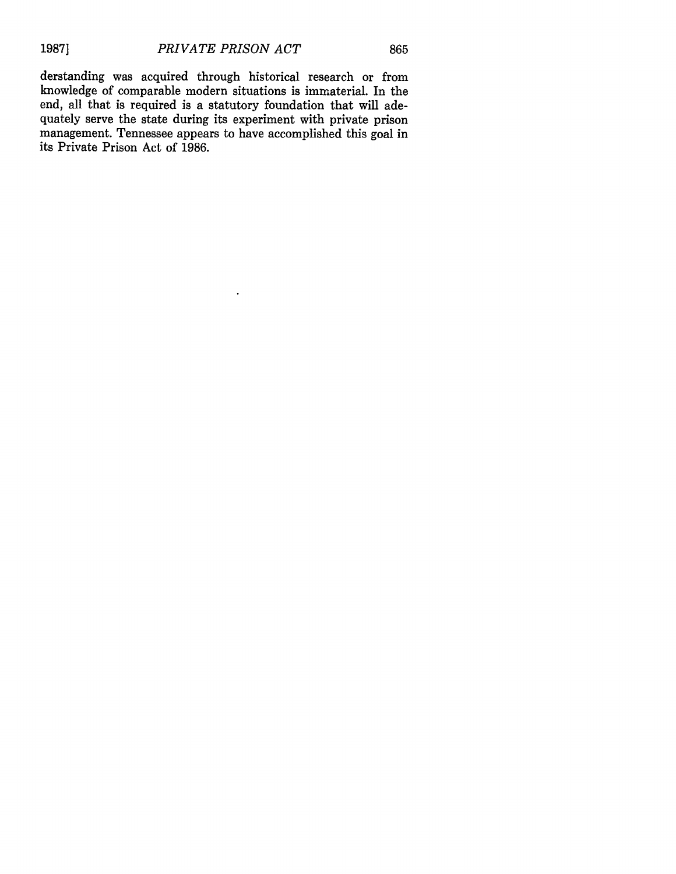derstanding was acquired through historical research or from knowledge of comparable modern situations is immaterial. In the end, all that is required is a statutory foundation that will adequately serve the state during its experiment with private prison management. Tennessee appears to have accomplished this goal in its Private Prison Act of 1986.

 $\ddot{\phantom{a}}$